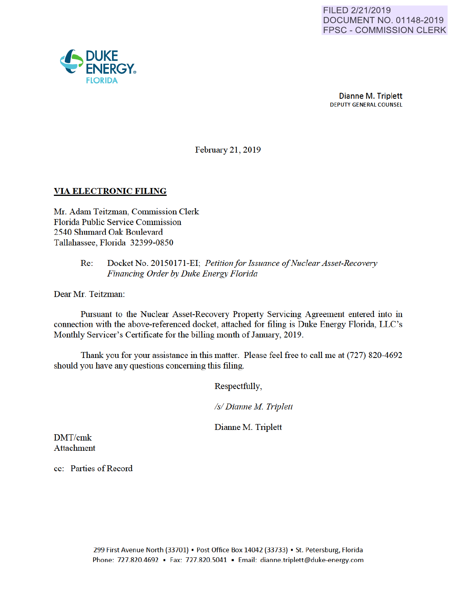

Dianne M. Triplett DEPUTY GENERAL COUNSEL

February 21, 2019

## VIA ELECTRONIC FILING

Mr. Adam Teitzman, Commission Clerk Florida Public Service Commission 2540 Shumard Oak Boulevard Tallahassee, Florida 32399-0850

## Re: Docket No. 20150171-EI; *Petition for Issuance of Nuclear Asset-Recovery Financing Order by Duke Energy Florida*

Dear Mr. Teitzman:

Pursuant to the Nuclear Asset-Recovery Property Servicing Agreement entered into in connection with the above-referenced docket, attached for filing is Duke Energy Florida, LLC's Monthly Servicer's Certificate for the billing month of January, 2019.

Thank you for your assistance in this matter. Please feel free to call me at (727) 820-4692 should you have any questions conceming this filing.

Respectfully,

*Is/ Dianne M Triplett* 

Dianne M. Triplett

DMT/cmk Attachment

cc: Parties of Record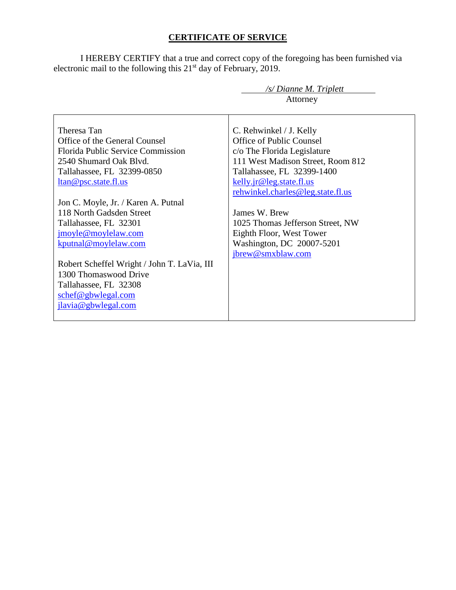# **CERTIFICATE OF SERVICE**

I HEREBY CERTIFY that a true and correct copy of the foregoing has been furnished via electronic mail to the following this 21<sup>st</sup> day of February, 2019.

| /s/ Dianne M. Triplett                      |                                   |  |
|---------------------------------------------|-----------------------------------|--|
|                                             | Attorney                          |  |
|                                             |                                   |  |
| Theresa Tan                                 | C. Rehwinkel / J. Kelly           |  |
| Office of the General Counsel               | <b>Office of Public Counsel</b>   |  |
| Florida Public Service Commission           | c/o The Florida Legislature       |  |
| 2540 Shumard Oak Blyd.                      | 111 West Madison Street, Room 812 |  |
| Tallahassee, FL 32399-0850                  | Tallahassee, FL 32399-1400        |  |
| ltan@psc.state.fl.us                        | kelly.jr@leg.state.fl.us          |  |
|                                             | rehwinkel.charles@leg.state.fl.us |  |
| Jon C. Moyle, Jr. / Karen A. Putnal         |                                   |  |
| 118 North Gadsden Street                    | James W. Brew                     |  |
| Tallahassee, FL 32301                       | 1025 Thomas Jefferson Street, NW  |  |
| jmoyle@moylelaw.com                         | Eighth Floor, West Tower          |  |
| kputnal@moylelaw.com                        | Washington, DC 20007-5201         |  |
|                                             | jbrew@smxblaw.com                 |  |
| Robert Scheffel Wright / John T. LaVia, III |                                   |  |
| 1300 Thomaswood Drive                       |                                   |  |
| Tallahassee, FL 32308                       |                                   |  |
| schef@gbwlegal.com                          |                                   |  |
| jlavia@gbwlegal.com                         |                                   |  |
|                                             |                                   |  |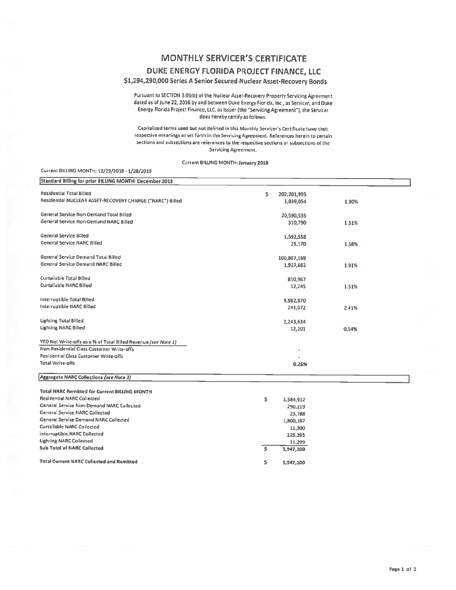## **MONTHLY SERVICER'S CERTIFICATE**

### DUKE ENERGY FLORIDA PROJECT FINANCE, LLC

### \$1,294,290,000 Series A Senior Secured Nuclear Asset-Recovery Bonds

Pursuant to SECTION 3.01(b) of the Nuclear Asset-Recovery Property Servicing Agreement dated as of June 22, 2016 by and between Duke Energy Florida, Inc., as Servicer, and Duke Energy Florida Project Finance, LLC, as Issuer (the "Servicing Agreement"), the Servicer does hereby certify as follows:

Capitalized terms used but not defined in this Monthly Servicer's Certificate have their respective meanings as set forth in the Servicing Agreement. References herein to certain sections and subsections are references to the respective sections or subsections of the Servicing Agreement.

#### Current BILLING MONTH: January 2019

Current BILLING MONTH: 12/29/2018 - 1/28/2019

| Standard Billing for prior BILLING MONTH: December 2018        |                           |       |  |
|----------------------------------------------------------------|---------------------------|-------|--|
|                                                                |                           |       |  |
| <b>Residential Total Billed</b>                                | \$<br>202,201,995         |       |  |
| Residential NUCLEAR ASSET-RECOVERY CHARGE ("NARC") Billed      | 3,839,054                 | 1.90% |  |
|                                                                |                           |       |  |
| General Service Non-Demand Total Billed                        | 20,590,535                |       |  |
| General Service Non-Demand NARC Billed                         | 310,790                   | 1.51% |  |
| General Service Billed                                         | 1,592,558                 |       |  |
| General Service NARC Billed                                    | 25,170                    | 1.58% |  |
|                                                                |                           |       |  |
| General Service Demand Total Billed                            | 100,807,169               |       |  |
| General Service Demand NARC Billed                             | 1,927,662                 | 1.91% |  |
|                                                                |                           |       |  |
| Curtailable Total Billed                                       | 810,967                   |       |  |
| <b>Curtailable NARC Billed</b>                                 | 12,245                    | 1.51% |  |
|                                                                |                           |       |  |
| interruptible Total Billed                                     | 9,982,870                 |       |  |
| Interruptible NARC Billed                                      | 241,072                   | 2.41% |  |
|                                                                |                           |       |  |
| <b>Lighting Total Billed</b>                                   | 2,243,634                 |       |  |
| <b>Lighting NARC Billed</b>                                    | 12,201                    | 0.54% |  |
| YTD Net Write-offs as a % of Total Billed Revenue (see Note 1) |                           |       |  |
| Non-Residential Class Customer Write-offs                      |                           |       |  |
| Residential Class Customer Write-offs                          |                           |       |  |
| <b>Total Write-offs</b>                                        |                           |       |  |
|                                                                | 0.26%                     |       |  |
| <b>Aggregate NARC Collections (see Note 2)</b>                 |                           |       |  |
|                                                                |                           |       |  |
| <b>Total NARC Remitted for Current BILLING MONTH</b>           |                           |       |  |
| <b>Residential NARC Collected</b>                              | s<br>3,584,912            |       |  |
| General Service Non-Demand NARC Collected                      | 290.219                   |       |  |
| <b>General Service NARC Collected</b>                          | 23,788                    |       |  |
| General Service Demand NARC Collected                          | 1,800,187                 |       |  |
| <b>Curtailable NARC Collected</b>                              | 11,300                    |       |  |
| <b>Interruptible NARC Collected</b>                            | 225,395                   |       |  |
| <b>Lighting NARC Collected</b>                                 | 11,299                    |       |  |
| Sub-Total of NARC Collected                                    | $\mathsf{s}$<br>5,947,100 |       |  |
| <b>Total Current NARC Collected and Remitted</b>               | Ś.<br>5,947,100           |       |  |